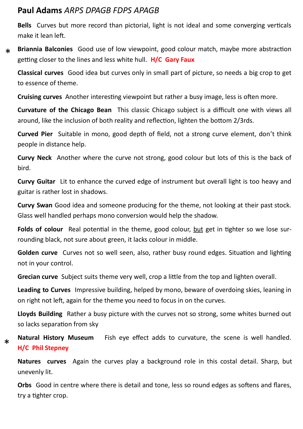## **Paul Adams** *ARPS DPAGB FDPS APAGB*

**Bells** Curves but more record than pictorial, light is not ideal and some converging verticals make it lean left.

**Briannia Balconies** Good use of low viewpoint, good colour match, maybe more abstraction getting closer to the lines and less white hull. **H/C Gary Faux**  $\star$ 

**Classical curves** Good idea but curves only in small part of picture, so needs a big crop to get to essence of theme.

**Cruising curves** Another interesting viewpoint but rather a busy image, less is often more.

**Curvature of the Chicago Bean** This classic Chicago subject is a difficult one with views all around, like the inclusion of both reality and reflection, lighten the bottom 2/3rds.

**Curved Pier** Suitable in mono, good depth of field, not a strong curve element, don't think people in distance help.

**Curvy Neck** Another where the curve not strong, good colour but lots of this is the back of bird.

**Curvy Guitar** Lit to enhance the curved edge of instrument but overall light is too heavy and guitar is rather lost in shadows.

**Curvy Swan** Good idea and someone producing for the theme, not looking at their past stock. Glass well handled perhaps mono conversion would help the shadow.

**Folds of colour** Real potential in the theme, good colour, but get in tighter so we lose surrounding black, not sure about green, it lacks colour in middle.

**Golden curve** Curves not so well seen, also, rather busy round edges. Situation and lighting not in your control.

**Grecian curve** Subject suits theme very well, crop a little from the top and lighten overall.

**Leading to Curves** Impressive building, helped by mono, beware of overdoing skies, leaning in on right not left, again for the theme you need to focus in on the curves.

**Lloyds Building** Rather a busy picture with the curves not so strong, some whites burned out so lacks separation from sky

**Natural History Museum** Fish eye effect adds to curvature, the scene is well handled. **H/C Phil Stepney**

\*

**Natures curves** Again the curves play a background role in this costal detail. Sharp, but unevenly lit.

**Orbs** Good in centre where there is detail and tone, less so round edges as softens and flares, try a tighter crop.